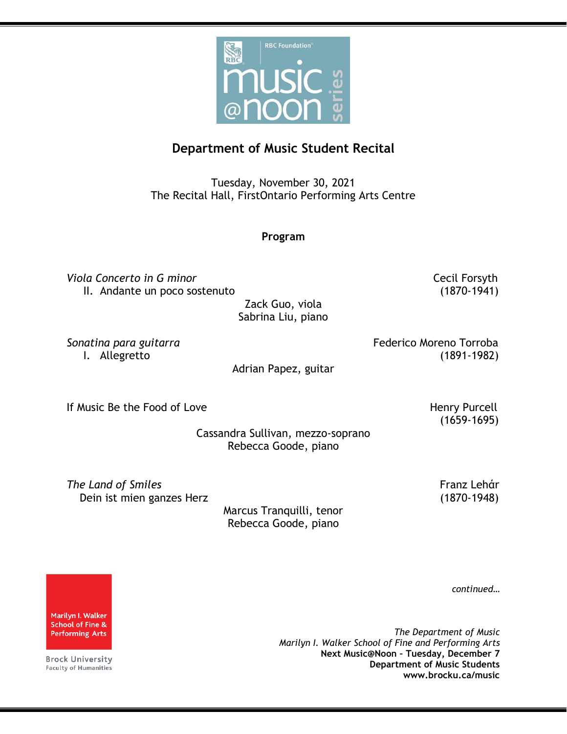

## **Department of Music Student Recital**

Tuesday, November 30, 2021 The Recital Hall, FirstOntario Performing Arts Centre

## **Program**

**Viola Concerto in G minor** Cecil Forsyth II. Andante un poco sostenuto (1870-1941)

Zack Guo, viola Sabrina Liu, piano

Sonatina para guitarra **Federico Moreno Torroba** I. Allegretto (1891-1982)

Adrian Papez, guitar

If Music Be the Food of Love **Henry Purcell** Service Benedicts Assessment Renew Henry Purcell

(1659-1695)

Cassandra Sullivan, mezzo-soprano Rebecca Goode, piano

**The Land of Smiles** Franz Lehάr Dein ist mien ganzes Herz (1870-1948)

Marcus Tranquilli, tenor Rebecca Goode, piano

*continued…*

Marilyn I. Walker **School of Fine & Performing Arts** 

**Brock University Faculty of Humanities** 

*The Department of Music Marilyn I. Walker School of Fine and Performing Arts* **Next Music@Noon – Tuesday, December 7 Department of Music Students www.brocku.ca/music**